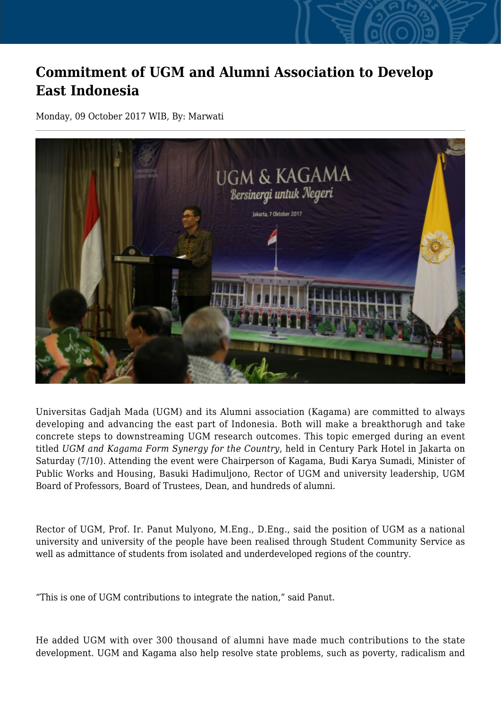## **Commitment of UGM and Alumni Association to Develop East Indonesia**

Monday, 09 October 2017 WIB, By: Marwati



Universitas Gadjah Mada (UGM) and its Alumni association (Kagama) are committed to always developing and advancing the east part of Indonesia. Both will make a breakthorugh and take concrete steps to downstreaming UGM research outcomes. This topic emerged during an event titled *UGM and Kagama Form Synergy for the Country*, held in Century Park Hotel in Jakarta on Saturday (7/10). Attending the event were Chairperson of Kagama, Budi Karya Sumadi, Minister of Public Works and Housing, Basuki Hadimuljono, Rector of UGM and university leadership, UGM Board of Professors, Board of Trustees, Dean, and hundreds of alumni.

Rector of UGM, Prof. Ir. Panut Mulyono, M.Eng., D.Eng., said the position of UGM as a national university and university of the people have been realised through Student Community Service as well as admittance of students from isolated and underdeveloped regions of the country.

"This is one of UGM contributions to integrate the nation," said Panut.

He added UGM with over 300 thousand of alumni have made much contributions to the state development. UGM and Kagama also help resolve state problems, such as poverty, radicalism and